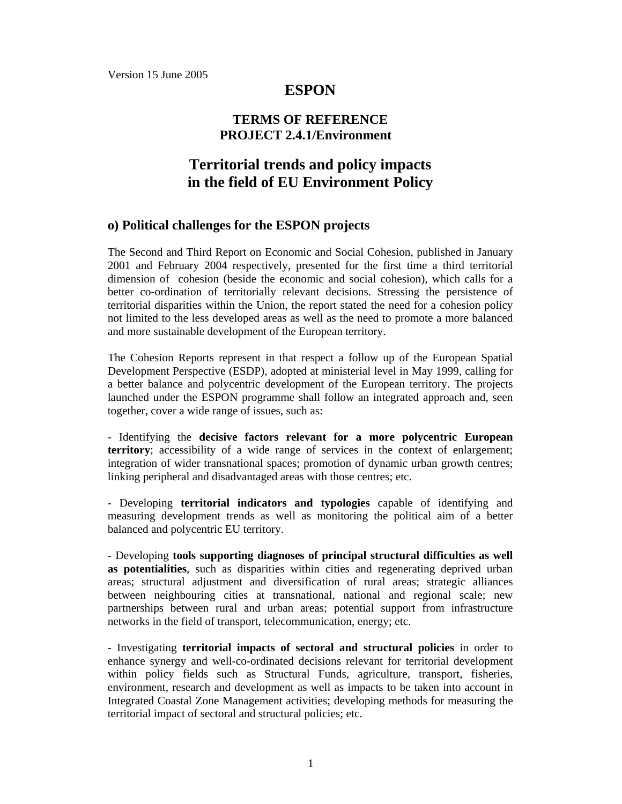Version 15 June 2005

## **ESPON**

## **TERMS OF REFERENCE PROJECT 2.4.1/Environment**

# **Territorial trends and policy impacts in the field of EU Environment Policy**

#### **o) Political challenges for the ESPON projects**

The Second and Third Report on Economic and Social Cohesion, published in January 2001 and February 2004 respectively, presented for the first time a third territorial dimension of cohesion (beside the economic and social cohesion), which calls for a better co-ordination of territorially relevant decisions. Stressing the persistence of territorial disparities within the Union, the report stated the need for a cohesion policy not limited to the less developed areas as well as the need to promote a more balanced and more sustainable development of the European territory.

The Cohesion Reports represent in that respect a follow up of the European Spatial Development Perspective (ESDP), adopted at ministerial level in May 1999, calling for a better balance and polycentric development of the European territory. The projects launched under the ESPON programme shall follow an integrated approach and, seen together, cover a wide range of issues, such as:

- Identifying the **decisive factors relevant for a more polycentric European territory**; accessibility of a wide range of services in the context of enlargement; integration of wider transnational spaces; promotion of dynamic urban growth centres; linking peripheral and disadvantaged areas with those centres; etc.

- Developing **territorial indicators and typologies** capable of identifying and measuring development trends as well as monitoring the political aim of a better balanced and polycentric EU territory.

- Developing **tools supporting diagnoses of principal structural difficulties as well as potentialities**, such as disparities within cities and regenerating deprived urban areas; structural adjustment and diversification of rural areas; strategic alliances between neighbouring cities at transnational, national and regional scale; new partnerships between rural and urban areas; potential support from infrastructure networks in the field of transport, telecommunication, energy; etc.

- Investigating **territorial impacts of sectoral and structural policies** in order to enhance synergy and well-co-ordinated decisions relevant for territorial development within policy fields such as Structural Funds, agriculture, transport, fisheries, environment, research and development as well as impacts to be taken into account in Integrated Coastal Zone Management activities; developing methods for measuring the territorial impact of sectoral and structural policies; etc.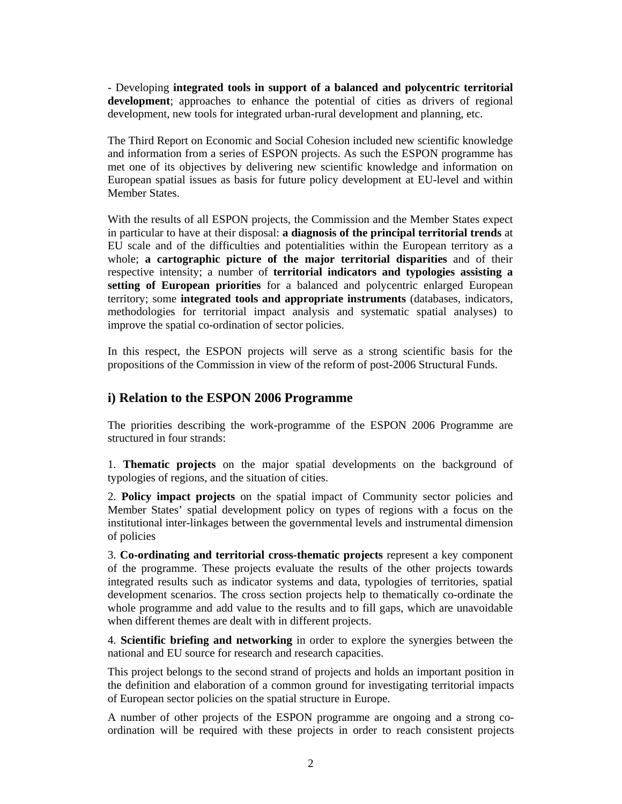- Developing **integrated tools in support of a balanced and polycentric territorial development**; approaches to enhance the potential of cities as drivers of regional development, new tools for integrated urban-rural development and planning, etc.

The Third Report on Economic and Social Cohesion included new scientific knowledge and information from a series of ESPON projects. As such the ESPON programme has met one of its objectives by delivering new scientific knowledge and information on European spatial issues as basis for future policy development at EU-level and within Member States.

With the results of all ESPON projects, the Commission and the Member States expect in particular to have at their disposal: **a diagnosis of the principal territorial trends** at EU scale and of the difficulties and potentialities within the European territory as a whole; **a cartographic picture of the major territorial disparities** and of their respective intensity; a number of **territorial indicators and typologies assisting a setting of European priorities** for a balanced and polycentric enlarged European territory; some **integrated tools and appropriate instruments** (databases, indicators, methodologies for territorial impact analysis and systematic spatial analyses) to improve the spatial co-ordination of sector policies.

In this respect, the ESPON projects will serve as a strong scientific basis for the propositions of the Commission in view of the reform of post-2006 Structural Funds.

### **i) Relation to the ESPON 2006 Programme**

The priorities describing the work-programme of the ESPON 2006 Programme are structured in four strands:

1. **Thematic projects** on the major spatial developments on the background of typologies of regions, and the situation of cities.

2. **Policy impact projects** on the spatial impact of Community sector policies and Member States' spatial development policy on types of regions with a focus on the institutional inter-linkages between the governmental levels and instrumental dimension of policies

3. **Co-ordinating and territorial cross-thematic projects** represent a key component of the programme. These projects evaluate the results of the other projects towards integrated results such as indicator systems and data, typologies of territories, spatial development scenarios. The cross section projects help to thematically co-ordinate the whole programme and add value to the results and to fill gaps, which are unavoidable when different themes are dealt with in different projects.

4. **Scientific briefing and networking** in order to explore the synergies between the national and EU source for research and research capacities.

This project belongs to the second strand of projects and holds an important position in the definition and elaboration of a common ground for investigating territorial impacts of European sector policies on the spatial structure in Europe.

A number of other projects of the ESPON programme are ongoing and a strong coordination will be required with these projects in order to reach consistent projects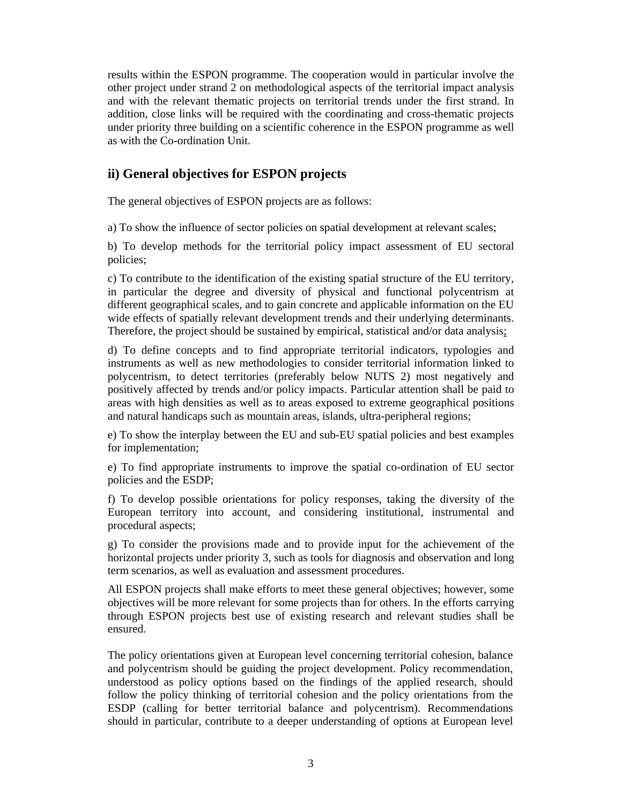results within the ESPON programme. The cooperation would in particular involve the other project under strand 2 on methodological aspects of the territorial impact analysis and with the relevant thematic projects on territorial trends under the first strand. In addition, close links will be required with the coordinating and cross-thematic projects under priority three building on a scientific coherence in the ESPON programme as well as with the Co-ordination Unit.

## **ii) General objectives for ESPON projects**

The general objectives of ESPON projects are as follows:

a) To show the influence of sector policies on spatial development at relevant scales;

b) To develop methods for the territorial policy impact assessment of EU sectoral policies;

c) To contribute to the identification of the existing spatial structure of the EU territory, in particular the degree and diversity of physical and functional polycentrism at different geographical scales, and to gain concrete and applicable information on the EU wide effects of spatially relevant development trends and their underlying determinants. Therefore, the project should be sustained by empirical, statistical and/or data analysis;

d) To define concepts and to find appropriate territorial indicators, typologies and instruments as well as new methodologies to consider territorial information linked to polycentrism, to detect territories (preferably below NUTS 2) most negatively and positively affected by trends and/or policy impacts. Particular attention shall be paid to areas with high densities as well as to areas exposed to extreme geographical positions and natural handicaps such as mountain areas, islands, ultra-peripheral regions;

e) To show the interplay between the EU and sub-EU spatial policies and best examples for implementation;

e) To find appropriate instruments to improve the spatial co-ordination of EU sector policies and the ESDP;

f) To develop possible orientations for policy responses, taking the diversity of the European territory into account, and considering institutional, instrumental and procedural aspects;

g) To consider the provisions made and to provide input for the achievement of the horizontal projects under priority 3, such as tools for diagnosis and observation and long term scenarios, as well as evaluation and assessment procedures.

All ESPON projects shall make efforts to meet these general objectives; however, some objectives will be more relevant for some projects than for others. In the efforts carrying through ESPON projects best use of existing research and relevant studies shall be ensured.

The policy orientations given at European level concerning territorial cohesion, balance and polycentrism should be guiding the project development. Policy recommendation, understood as policy options based on the findings of the applied research, should follow the policy thinking of territorial cohesion and the policy orientations from the ESDP (calling for better territorial balance and polycentrism). Recommendations should in particular, contribute to a deeper understanding of options at European level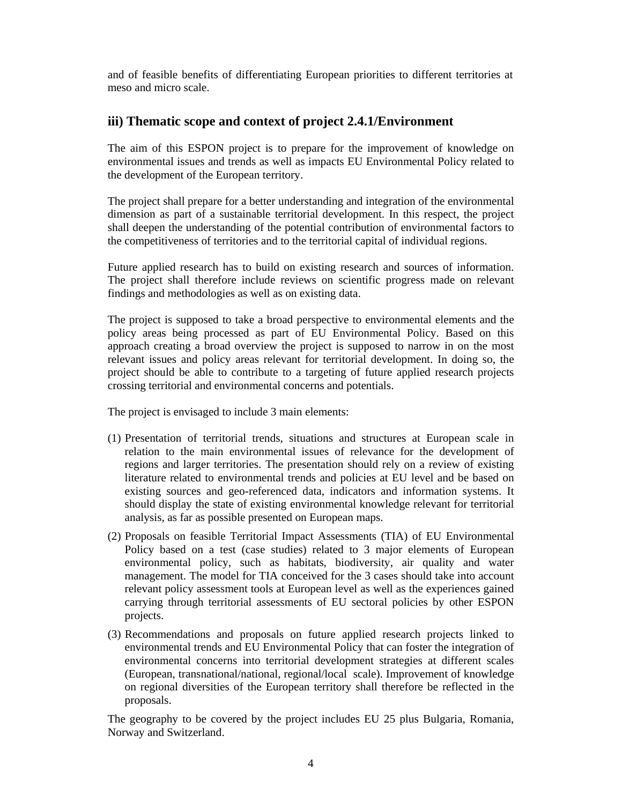and of feasible benefits of differentiating European priorities to different territories at meso and micro scale.

## **iii) Thematic scope and context of project 2.4.1/Environment**

The aim of this ESPON project is to prepare for the improvement of knowledge on environmental issues and trends as well as impacts EU Environmental Policy related to the development of the European territory.

The project shall prepare for a better understanding and integration of the environmental dimension as part of a sustainable territorial development. In this respect, the project shall deepen the understanding of the potential contribution of environmental factors to the competitiveness of territories and to the territorial capital of individual regions.

Future applied research has to build on existing research and sources of information. The project shall therefore include reviews on scientific progress made on relevant findings and methodologies as well as on existing data.

The project is supposed to take a broad perspective to environmental elements and the policy areas being processed as part of EU Environmental Policy. Based on this approach creating a broad overview the project is supposed to narrow in on the most relevant issues and policy areas relevant for territorial development. In doing so, the project should be able to contribute to a targeting of future applied research projects crossing territorial and environmental concerns and potentials.

The project is envisaged to include 3 main elements:

- (1) Presentation of territorial trends, situations and structures at European scale in relation to the main environmental issues of relevance for the development of regions and larger territories. The presentation should rely on a review of existing literature related to environmental trends and policies at EU level and be based on existing sources and geo-referenced data, indicators and information systems. It should display the state of existing environmental knowledge relevant for territorial analysis, as far as possible presented on European maps.
- (2) Proposals on feasible Territorial Impact Assessments (TIA) of EU Environmental Policy based on a test (case studies) related to 3 major elements of European environmental policy, such as habitats, biodiversity, air quality and water management. The model for TIA conceived for the 3 cases should take into account relevant policy assessment tools at European level as well as the experiences gained carrying through territorial assessments of EU sectoral policies by other ESPON projects.
- (3) Recommendations and proposals on future applied research projects linked to environmental trends and EU Environmental Policy that can foster the integration of environmental concerns into territorial development strategies at different scales (European, transnational/national, regional/local scale). Improvement of knowledge on regional diversities of the European territory shall therefore be reflected in the proposals.

The geography to be covered by the project includes EU 25 plus Bulgaria, Romania, Norway and Switzerland.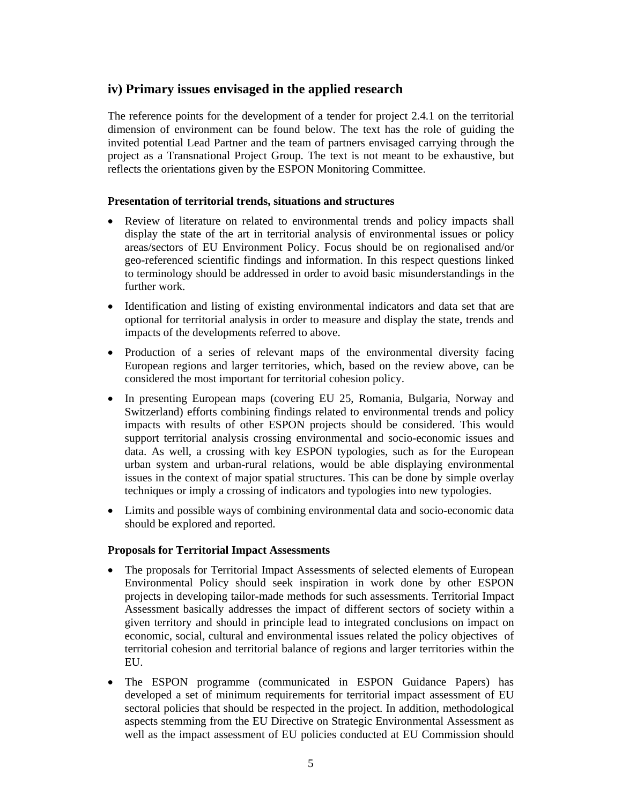### **iv) Primary issues envisaged in the applied research**

The reference points for the development of a tender for project 2.4.1 on the territorial dimension of environment can be found below. The text has the role of guiding the invited potential Lead Partner and the team of partners envisaged carrying through the project as a Transnational Project Group. The text is not meant to be exhaustive, but reflects the orientations given by the ESPON Monitoring Committee.

#### **Presentation of territorial trends, situations and structures**

- Review of literature on related to environmental trends and policy impacts shall display the state of the art in territorial analysis of environmental issues or policy areas/sectors of EU Environment Policy. Focus should be on regionalised and/or geo-referenced scientific findings and information. In this respect questions linked to terminology should be addressed in order to avoid basic misunderstandings in the further work.
- Identification and listing of existing environmental indicators and data set that are optional for territorial analysis in order to measure and display the state, trends and impacts of the developments referred to above.
- Production of a series of relevant maps of the environmental diversity facing European regions and larger territories, which, based on the review above, can be considered the most important for territorial cohesion policy.
- In presenting European maps (covering EU 25, Romania, Bulgaria, Norway and Switzerland) efforts combining findings related to environmental trends and policy impacts with results of other ESPON projects should be considered. This would support territorial analysis crossing environmental and socio-economic issues and data. As well, a crossing with key ESPON typologies, such as for the European urban system and urban-rural relations, would be able displaying environmental issues in the context of major spatial structures. This can be done by simple overlay techniques or imply a crossing of indicators and typologies into new typologies.
- Limits and possible ways of combining environmental data and socio-economic data should be explored and reported.

#### **Proposals for Territorial Impact Assessments**

- The proposals for Territorial Impact Assessments of selected elements of European Environmental Policy should seek inspiration in work done by other ESPON projects in developing tailor-made methods for such assessments. Territorial Impact Assessment basically addresses the impact of different sectors of society within a given territory and should in principle lead to integrated conclusions on impact on economic, social, cultural and environmental issues related the policy objectives of territorial cohesion and territorial balance of regions and larger territories within the EU.
- The ESPON programme (communicated in ESPON Guidance Papers) has developed a set of minimum requirements for territorial impact assessment of EU sectoral policies that should be respected in the project. In addition, methodological aspects stemming from the EU Directive on Strategic Environmental Assessment as well as the impact assessment of EU policies conducted at EU Commission should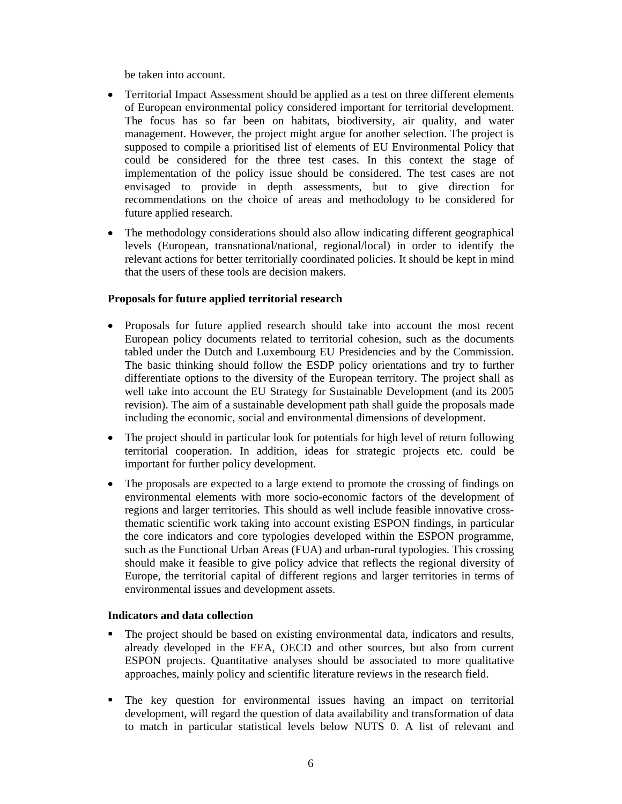be taken into account.

- Territorial Impact Assessment should be applied as a test on three different elements of European environmental policy considered important for territorial development. The focus has so far been on habitats, biodiversity, air quality, and water management. However, the project might argue for another selection. The project is supposed to compile a prioritised list of elements of EU Environmental Policy that could be considered for the three test cases. In this context the stage of implementation of the policy issue should be considered. The test cases are not envisaged to provide in depth assessments, but to give direction for recommendations on the choice of areas and methodology to be considered for future applied research.
- The methodology considerations should also allow indicating different geographical levels (European, transnational/national, regional/local) in order to identify the relevant actions for better territorially coordinated policies. It should be kept in mind that the users of these tools are decision makers.

#### **Proposals for future applied territorial research**

- Proposals for future applied research should take into account the most recent European policy documents related to territorial cohesion, such as the documents tabled under the Dutch and Luxembourg EU Presidencies and by the Commission. The basic thinking should follow the ESDP policy orientations and try to further differentiate options to the diversity of the European territory. The project shall as well take into account the EU Strategy for Sustainable Development (and its 2005 revision). The aim of a sustainable development path shall guide the proposals made including the economic, social and environmental dimensions of development.
- The project should in particular look for potentials for high level of return following territorial cooperation. In addition, ideas for strategic projects etc. could be important for further policy development.
- The proposals are expected to a large extend to promote the crossing of findings on environmental elements with more socio-economic factors of the development of regions and larger territories. This should as well include feasible innovative crossthematic scientific work taking into account existing ESPON findings, in particular the core indicators and core typologies developed within the ESPON programme, such as the Functional Urban Areas (FUA) and urban-rural typologies. This crossing should make it feasible to give policy advice that reflects the regional diversity of Europe, the territorial capital of different regions and larger territories in terms of environmental issues and development assets.

#### **Indicators and data collection**

- The project should be based on existing environmental data, indicators and results, already developed in the EEA, OECD and other sources, but also from current ESPON projects. Quantitative analyses should be associated to more qualitative approaches, mainly policy and scientific literature reviews in the research field.
- The key question for environmental issues having an impact on territorial development, will regard the question of data availability and transformation of data to match in particular statistical levels below NUTS 0. A list of relevant and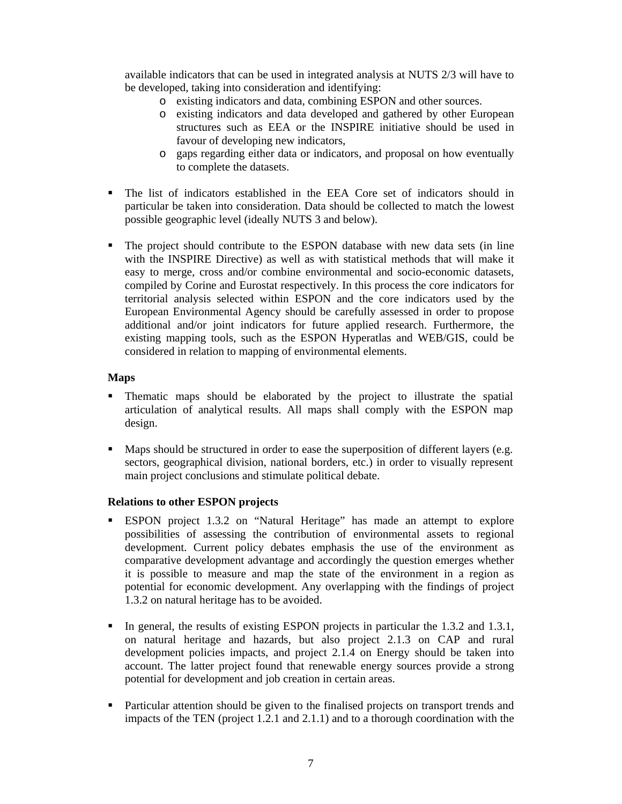available indicators that can be used in integrated analysis at NUTS 2/3 will have to be developed, taking into consideration and identifying:

- o existing indicators and data, combining ESPON and other sources.
- o existing indicators and data developed and gathered by other European structures such as EEA or the INSPIRE initiative should be used in favour of developing new indicators,
- o gaps regarding either data or indicators, and proposal on how eventually to complete the datasets.
- The list of indicators established in the EEA Core set of indicators should in particular be taken into consideration. Data should be collected to match the lowest possible geographic level (ideally NUTS 3 and below).
- The project should contribute to the ESPON database with new data sets (in line with the INSPIRE Directive) as well as with statistical methods that will make it easy to merge, cross and/or combine environmental and socio-economic datasets, compiled by Corine and Eurostat respectively. In this process the core indicators for territorial analysis selected within ESPON and the core indicators used by the European Environmental Agency should be carefully assessed in order to propose additional and/or joint indicators for future applied research. Furthermore, the existing mapping tools, such as the ESPON Hyperatlas and WEB/GIS, could be considered in relation to mapping of environmental elements.

#### **Maps**

- Thematic maps should be elaborated by the project to illustrate the spatial articulation of analytical results. All maps shall comply with the ESPON map design.
- Maps should be structured in order to ease the superposition of different layers (e.g. sectors, geographical division, national borders, etc.) in order to visually represent main project conclusions and stimulate political debate.

#### **Relations to other ESPON projects**

- ESPON project 1.3.2 on "Natural Heritage" has made an attempt to explore possibilities of assessing the contribution of environmental assets to regional development. Current policy debates emphasis the use of the environment as comparative development advantage and accordingly the question emerges whether it is possible to measure and map the state of the environment in a region as potential for economic development. Any overlapping with the findings of project 1.3.2 on natural heritage has to be avoided.
- In general, the results of existing ESPON projects in particular the 1.3.2 and 1.3.1, on natural heritage and hazards, but also project 2.1.3 on CAP and rural development policies impacts, and project 2.1.4 on Energy should be taken into account. The latter project found that renewable energy sources provide a strong potential for development and job creation in certain areas.
- Particular attention should be given to the finalised projects on transport trends and impacts of the TEN (project 1.2.1 and 2.1.1) and to a thorough coordination with the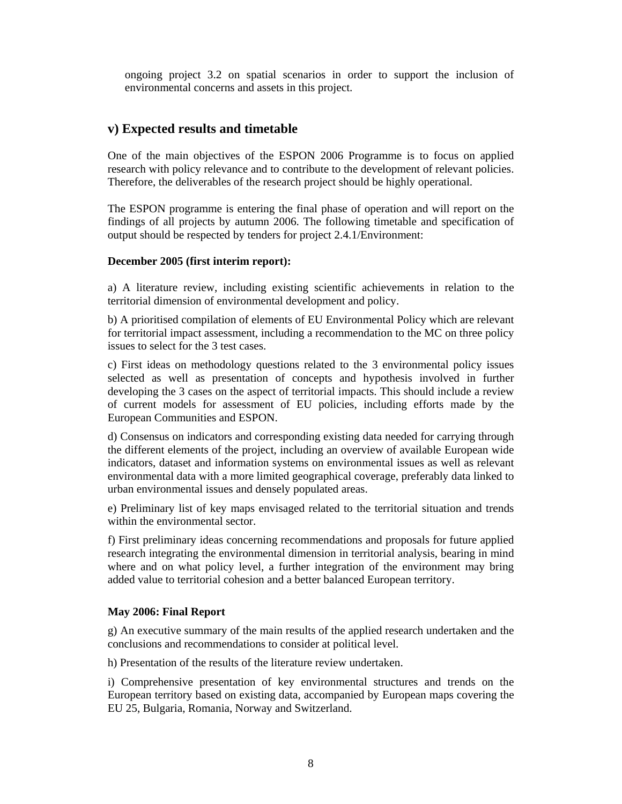ongoing project 3.2 on spatial scenarios in order to support the inclusion of environmental concerns and assets in this project.

### **v) Expected results and timetable**

One of the main objectives of the ESPON 2006 Programme is to focus on applied research with policy relevance and to contribute to the development of relevant policies. Therefore, the deliverables of the research project should be highly operational.

The ESPON programme is entering the final phase of operation and will report on the findings of all projects by autumn 2006. The following timetable and specification of output should be respected by tenders for project 2.4.1/Environment:

#### **December 2005 (first interim report):**

a) A literature review, including existing scientific achievements in relation to the territorial dimension of environmental development and policy.

b) A prioritised compilation of elements of EU Environmental Policy which are relevant for territorial impact assessment, including a recommendation to the MC on three policy issues to select for the 3 test cases.

c) First ideas on methodology questions related to the 3 environmental policy issues selected as well as presentation of concepts and hypothesis involved in further developing the 3 cases on the aspect of territorial impacts. This should include a review of current models for assessment of EU policies, including efforts made by the European Communities and ESPON.

d) Consensus on indicators and corresponding existing data needed for carrying through the different elements of the project, including an overview of available European wide indicators, dataset and information systems on environmental issues as well as relevant environmental data with a more limited geographical coverage, preferably data linked to urban environmental issues and densely populated areas.

e) Preliminary list of key maps envisaged related to the territorial situation and trends within the environmental sector.

f) First preliminary ideas concerning recommendations and proposals for future applied research integrating the environmental dimension in territorial analysis, bearing in mind where and on what policy level, a further integration of the environment may bring added value to territorial cohesion and a better balanced European territory.

#### **May 2006: Final Report**

g) An executive summary of the main results of the applied research undertaken and the conclusions and recommendations to consider at political level.

h) Presentation of the results of the literature review undertaken.

i) Comprehensive presentation of key environmental structures and trends on the European territory based on existing data, accompanied by European maps covering the EU 25, Bulgaria, Romania, Norway and Switzerland.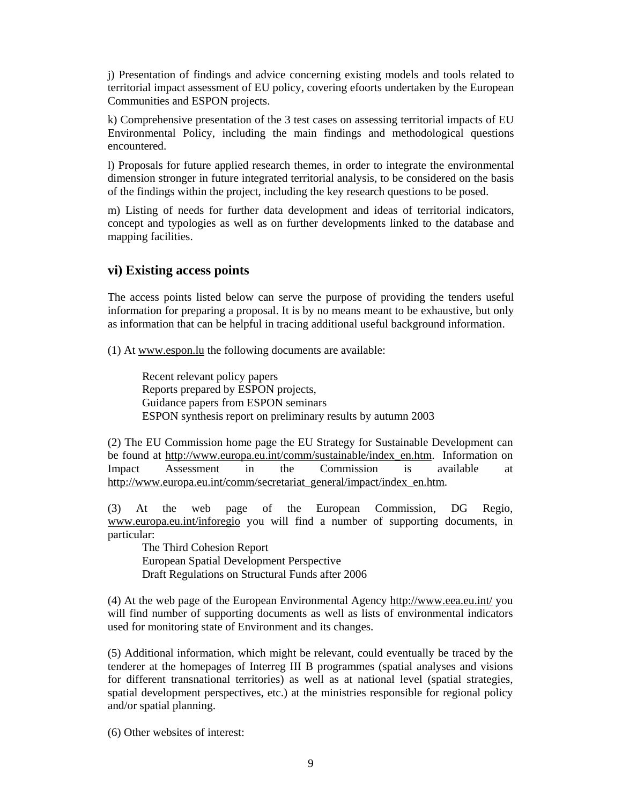j) Presentation of findings and advice concerning existing models and tools related to territorial impact assessment of EU policy, covering efoorts undertaken by the European Communities and ESPON projects.

k) Comprehensive presentation of the 3 test cases on assessing territorial impacts of EU Environmental Policy, including the main findings and methodological questions encountered.

l) Proposals for future applied research themes, in order to integrate the environmental dimension stronger in future integrated territorial analysis, to be considered on the basis of the findings within the project, including the key research questions to be posed.

m) Listing of needs for further data development and ideas of territorial indicators, concept and typologies as well as on further developments linked to the database and mapping facilities.

## **vi) Existing access points**

The access points listed below can serve the purpose of providing the tenders useful information for preparing a proposal. It is by no means meant to be exhaustive, but only as information that can be helpful in tracing additional useful background information.

(1) At www.espon.lu the following documents are available:

Recent relevant policy papers Reports prepared by ESPON projects, Guidance papers from ESPON seminars ESPON synthesis report on preliminary results by autumn 2003

(2) The EU Commission home page the EU Strategy for Sustainable Development can be found at http://www.europa.eu.int/comm/sustainable/index\_en.htm. Information on Impact Assessment in the Commission is available at http://www.europa.eu.int/comm/secretariat\_general/impact/index\_en.htm.

(3) At the web page of the European Commission, DG Regio, www.europa.eu.int/inforegio you will find a number of supporting documents, in particular:

The Third Cohesion Report European Spatial Development Perspective Draft Regulations on Structural Funds after 2006

(4) At the web page of the European Environmental Agency http://www.eea.eu.int/ you will find number of supporting documents as well as lists of environmental indicators used for monitoring state of Environment and its changes.

(5) Additional information, which might be relevant, could eventually be traced by the tenderer at the homepages of Interreg III B programmes (spatial analyses and visions for different transnational territories) as well as at national level (spatial strategies, spatial development perspectives, etc.) at the ministries responsible for regional policy and/or spatial planning.

(6) Other websites of interest: